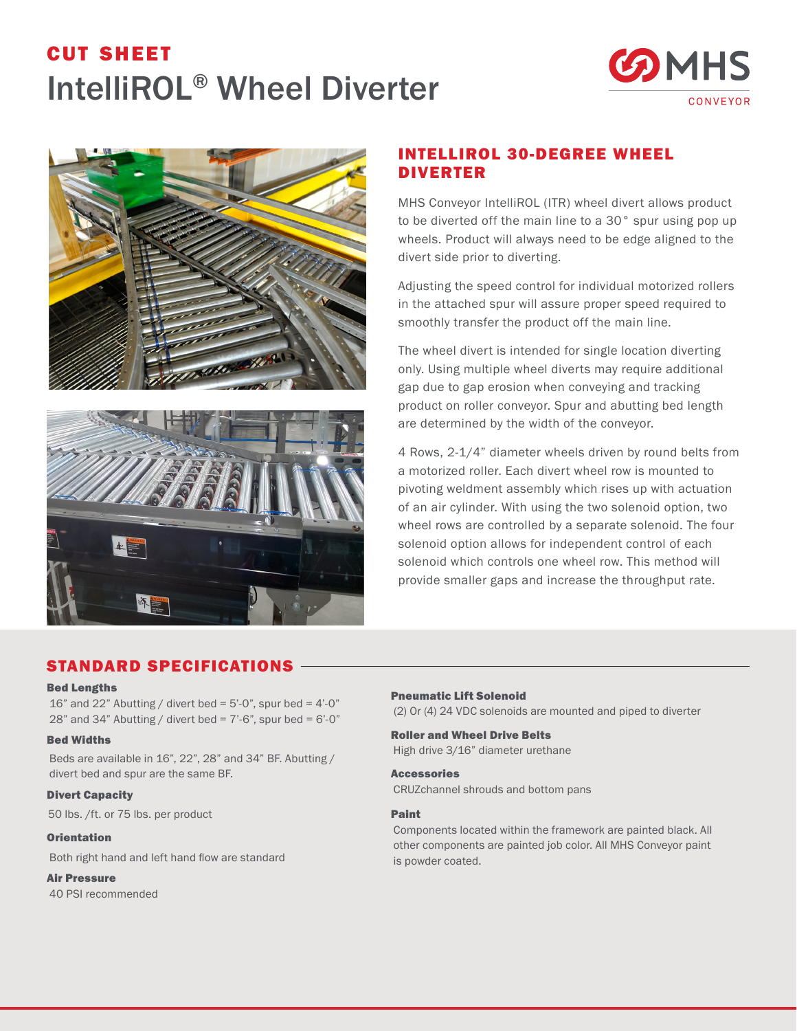# cut sheet IntelliROL® Wheel Diverter







# INTELLIROL 30-DEGREE WHEEL DIVERTER

MHS Conveyor IntelliROL (ITR) wheel divert allows product to be diverted off the main line to a 30° spur using pop up wheels. Product will always need to be edge aligned to the divert side prior to diverting.

Adjusting the speed control for individual motorized rollers in the attached spur will assure proper speed required to smoothly transfer the product off the main line.

The wheel divert is intended for single location diverting only. Using multiple wheel diverts may require additional gap due to gap erosion when conveying and tracking product on roller conveyor. Spur and abutting bed length are determined by the width of the conveyor.

4 Rows, 2-1/4" diameter wheels driven by round belts from a motorized roller. Each divert wheel row is mounted to pivoting weldment assembly which rises up with actuation of an air cylinder. With using the two solenoid option, two wheel rows are controlled by a separate solenoid. The four solenoid option allows for independent control of each solenoid which controls one wheel row. This method will provide smaller gaps and increase the throughput rate.

## STANDARD SPECIFICATIONS

#### Bed Lengths

16" and 22" Abutting / divert bed =  $5'-0$ ", spur bed =  $4'-0$ " 28" and 34" Abutting / divert bed =  $7'-6$ ", spur bed =  $6'-0$ "

#### Bed Widths

Beds are available in 16", 22", 28" and 34" BF. Abutting / divert bed and spur are the same BF.

### Divert Capacity

50 lbs. /ft. or 75 lbs. per product

#### **Orientation**

Both right hand and left hand flow are standard

#### Air Pressure

40 PSI recommended

### Pneumatic Lift Solenoid (2) Or (4) 24 VDC solenoids are mounted and piped to diverter

Roller and Wheel Drive Belts High drive 3/16" diameter urethane

Accessories CRUZchannel shrouds and bottom pans

## Paint

Components located within the framework are painted black. All other components are painted job color. All MHS Conveyor paint is powder coated.